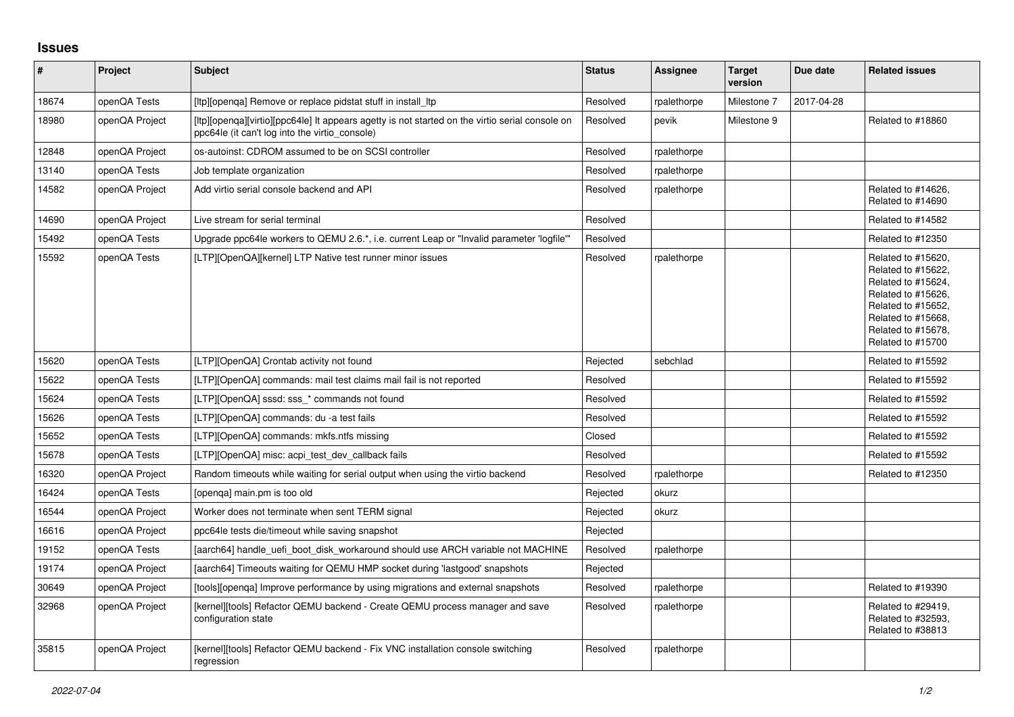## **Issues**

| $\sharp$ | <b>Project</b> | <b>Subject</b>                                                                                                                                    | <b>Status</b> | <b>Assignee</b> | <b>Target</b><br>version | Due date   | <b>Related issues</b>                                                                                                                                                       |
|----------|----------------|---------------------------------------------------------------------------------------------------------------------------------------------------|---------------|-----------------|--------------------------|------------|-----------------------------------------------------------------------------------------------------------------------------------------------------------------------------|
| 18674    | openQA Tests   | [Itp][openga] Remove or replace pidstat stuff in install Itp                                                                                      | Resolved      | rpalethorpe     | Milestone 7              | 2017-04-28 |                                                                                                                                                                             |
| 18980    | openQA Project | [ltp][openga][virtio][ppc64le] It appears agetty is not started on the virtio serial console on<br>ppc64le (it can't log into the virtio_console) | Resolved      | pevik           | Milestone 9              |            | Related to #18860                                                                                                                                                           |
| 12848    | openQA Project | os-autoinst: CDROM assumed to be on SCSI controller                                                                                               | Resolved      | rpalethorpe     |                          |            |                                                                                                                                                                             |
| 13140    | openQA Tests   | Job template organization                                                                                                                         | Resolved      | rpalethorpe     |                          |            |                                                                                                                                                                             |
| 14582    | openQA Project | Add virtio serial console backend and API                                                                                                         | Resolved      | rpalethorpe     |                          |            | Related to #14626,<br>Related to #14690                                                                                                                                     |
| 14690    | openQA Project | Live stream for serial terminal                                                                                                                   | Resolved      |                 |                          |            | Related to #14582                                                                                                                                                           |
| 15492    | openQA Tests   | Upgrade ppc64le workers to QEMU 2.6.*, i.e. current Leap or "Invalid parameter 'logfile'"                                                         | Resolved      |                 |                          |            | Related to #12350                                                                                                                                                           |
| 15592    | openQA Tests   | [LTP][OpenQA][kernel] LTP Native test runner minor issues                                                                                         | Resolved      | rpalethorpe     |                          |            | Related to #15620,<br>Related to #15622,<br>Related to #15624,<br>Related to #15626,<br>Related to #15652,<br>Related to #15668,<br>Related to #15678,<br>Related to #15700 |
| 15620    | openQA Tests   | [LTP][OpenQA] Crontab activity not found                                                                                                          | Rejected      | sebchlad        |                          |            | Related to #15592                                                                                                                                                           |
| 15622    | openQA Tests   | [LTP][OpenQA] commands: mail test claims mail fail is not reported                                                                                | Resolved      |                 |                          |            | Related to #15592                                                                                                                                                           |
| 15624    | openQA Tests   | [LTP][OpenQA] sssd: sss * commands not found                                                                                                      | Resolved      |                 |                          |            | Related to #15592                                                                                                                                                           |
| 15626    | openQA Tests   | [LTP][OpenQA] commands: du -a test fails                                                                                                          | Resolved      |                 |                          |            | Related to #15592                                                                                                                                                           |
| 15652    | openQA Tests   | [LTP][OpenQA] commands: mkfs.ntfs missing                                                                                                         | Closed        |                 |                          |            | Related to #15592                                                                                                                                                           |
| 15678    | openQA Tests   | [LTP][OpenQA] misc: acpi test dev callback fails                                                                                                  | Resolved      |                 |                          |            | Related to #15592                                                                                                                                                           |
| 16320    | openQA Project | Random timeouts while waiting for serial output when using the virtio backend                                                                     | Resolved      | rpalethorpe     |                          |            | Related to #12350                                                                                                                                                           |
| 16424    | openQA Tests   | [openga] main.pm is too old                                                                                                                       | Rejected      | okurz           |                          |            |                                                                                                                                                                             |
| 16544    | openQA Project | Worker does not terminate when sent TERM signal                                                                                                   | Rejected      | okurz           |                          |            |                                                                                                                                                                             |
| 16616    | openQA Project | ppc64le tests die/timeout while saving snapshot                                                                                                   | Rejected      |                 |                          |            |                                                                                                                                                                             |
| 19152    | openQA Tests   | [aarch64] handle uefi boot disk workaround should use ARCH variable not MACHINE                                                                   | Resolved      | rpalethorpe     |                          |            |                                                                                                                                                                             |
| 19174    | openQA Project | [aarch64] Timeouts waiting for QEMU HMP socket during 'lastgood' snapshots                                                                        | Rejected      |                 |                          |            |                                                                                                                                                                             |
| 30649    | openQA Project | [tools][openga] Improve performance by using migrations and external snapshots                                                                    | Resolved      | rpalethorpe     |                          |            | Related to #19390                                                                                                                                                           |
| 32968    | openQA Project | [kernel][tools] Refactor QEMU backend - Create QEMU process manager and save<br>configuration state                                               | Resolved      | rpalethorpe     |                          |            | Related to #29419,<br>Related to #32593,<br>Related to #38813                                                                                                               |
| 35815    | openQA Project | [kernel][tools] Refactor QEMU backend - Fix VNC installation console switching<br>regression                                                      | Resolved      | rpalethorpe     |                          |            |                                                                                                                                                                             |